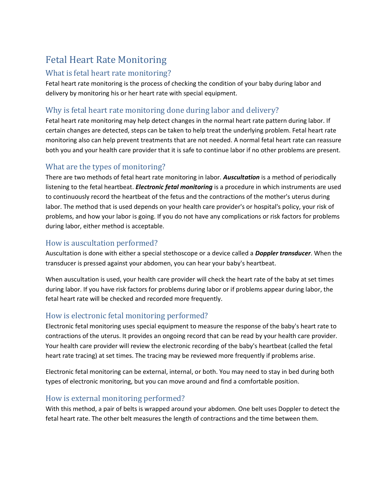# Fetal Heart Rate Monitoring

#### What is fetal heart rate monitoring?

Fetal heart rate monitoring is the process of checking the condition of your baby during labor and delivery by monitoring his or her heart rate with special equipment.

# Why is fetal heart rate monitoring done during labor and delivery?

Fetal heart rate monitoring may help detect changes in the normal heart rate pattern during labor. If certain changes are detected, steps can be taken to help treat the underlying problem. Fetal heart rate monitoring also can help prevent treatments that are not needed. A normal fetal heart rate can reassure both you and your health care provider that it is safe to continue labor if no other problems are present.

### What are the types of monitoring?

There are two methods of fetal heart rate monitoring in labor. *Auscultation* is a method of periodically listening to the fetal heartbeat. *Electronic fetal monitoring* is a procedure in which instruments are used to continuously record the heartbeat of the fetus and the contractions of the mother's uterus during labor. The method that is used depends on your health care provider's or hospital's policy, your risk of problems, and how your labor is going. If you do not have any complications or risk factors for problems during labor, either method is acceptable.

## How is auscultation performed?

Auscultation is done with either a special stethoscope or a device called a *Doppler transducer*. When the transducer is pressed against your abdomen, you can hear your baby's heartbeat.

When auscultation is used, your health care provider will check the heart rate of the baby at set times during labor. If you have risk factors for problems during labor or if problems appear during labor, the fetal heart rate will be checked and recorded more frequently.

## How is electronic fetal monitoring performed?

Electronic fetal monitoring uses special equipment to measure the response of the baby's heart rate to contractions of the uterus. It provides an ongoing record that can be read by your health care provider. Your health care provider will review the electronic recording of the baby's heartbeat (called the fetal heart rate tracing) at set times. The tracing may be reviewed more frequently if problems arise.

Electronic fetal monitoring can be external, internal, or both. You may need to stay in bed during both types of electronic monitoring, but you can move around and find a comfortable position.

## How is external monitoring performed?

With this method, a pair of belts is wrapped around your abdomen. One belt uses Doppler to detect the fetal heart rate. The other belt measures the length of contractions and the time between them.